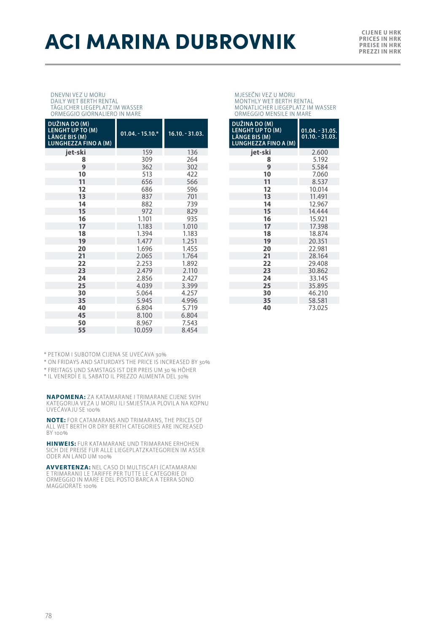## **ACI MARINA DUBROVNIK PRESSENDER**

**PRICES IN HRK PREISE IN HRK PREZZI IN HRK**

DNEVNI VEZ U MORU DAILY WET BERTH RENTAL TÄGLICHER LIEGEPLATZ IM WASSER ORMEGGIO GIORNALIERO IN MARE

| DUŽINA DO (M)<br><b>LENGHT UP TO (M)</b><br>LÄNGE BIS (M)<br><b>LUNGHEZZA FINO A (M)</b> | $01.04 - 15.10.*$ | $16.10 - 31.03.$ |
|------------------------------------------------------------------------------------------|-------------------|------------------|
| jet-ski                                                                                  | 159               | 136              |
| 8                                                                                        | 309               | 264              |
| 9                                                                                        | 362               | 302              |
| 10                                                                                       | 513               | 422              |
| 11                                                                                       | 656               | 566              |
| 12                                                                                       | 686               | 596              |
| 13                                                                                       | 837               | 701              |
| 14                                                                                       | 882               | 739              |
| 15                                                                                       | 972               | 829              |
| 16                                                                                       | 1.101             | 935              |
| 17                                                                                       | 1.183             | 1.010            |
| 18                                                                                       | 1.394             | 1.183            |
| 19                                                                                       | 1.477             | 1.251            |
| 20                                                                                       | 1.696             | 1.455            |
| 21                                                                                       | 2.065             | 1.764            |
| 22                                                                                       | 2.253             | 1.892            |
| 23                                                                                       | 2.479             | 2.110            |
| 24                                                                                       | 2.856             | 2.427            |
| 25                                                                                       | 4.039             | 3.399            |
| 30                                                                                       | 5.064             | 4.257            |
| 35                                                                                       | 5.945             | 4.996            |
| 40                                                                                       | 6.804             | 5.719            |
| 45                                                                                       | 8.100             | 6.804            |
| 50                                                                                       | 8.967             | 7.543            |
| 55                                                                                       | 10.059            | 8.454            |

MJESEČNI VEZ U MORU MONTHLY WET BERTH RENTAL MONATLICHER LIEGEPLATZ IM WASSER ORMEGGIO MENSILE IN MARE

| DUŽINA DO (M)<br><b>LENGHT UP TO (M)</b><br><b>LÄNGE BIS (M)</b><br>LUNGHEZZA FINO A (M) | $01.04. - 31.05.$<br>$01.10 - 31.03$ . |  |  |
|------------------------------------------------------------------------------------------|----------------------------------------|--|--|
| iet-ski                                                                                  | 2.600                                  |  |  |
| 8                                                                                        | 5.192                                  |  |  |
| 9                                                                                        | 5.584                                  |  |  |
| 10                                                                                       | 7.060                                  |  |  |
| 11                                                                                       | 8.537                                  |  |  |
| 12                                                                                       | 10.014                                 |  |  |
| 13                                                                                       | 11.491                                 |  |  |
| 14                                                                                       | 12.967                                 |  |  |
| 15                                                                                       | 14.444                                 |  |  |
| 16                                                                                       | 15.921                                 |  |  |
| 17                                                                                       | 17.398                                 |  |  |
| 18                                                                                       | 18.874                                 |  |  |
| 19                                                                                       | 20.351                                 |  |  |
| 20                                                                                       | 22.981                                 |  |  |
| 21                                                                                       | 28.164                                 |  |  |
| 22                                                                                       | 29.408                                 |  |  |
| 23                                                                                       | 30.862                                 |  |  |
| 24                                                                                       | 33.145                                 |  |  |
| 25                                                                                       | 35.895                                 |  |  |
| 30                                                                                       | 46.210                                 |  |  |
| 35                                                                                       | 58.581                                 |  |  |
| 40                                                                                       | 73.025                                 |  |  |

\* PETKOM I SUBOTOM CIJENA SE UVEĆAVA 30%

\* ON FRIDAYS AND SATURDAYS THE PRICE IS INCREASED BY 30%

\* FREITAGS UND SAMSTAGS IST DER PREIS UM 30 % HÖHER \* IL VENERDÌ E IL SABATO IL PREZZO AUMENTA DEL 30%

**NAPOMENA:** ZA KATAMARANE I TRIMARANE CIJENE SVIH KATEGORIJA VEZA NATAMIANAJNE LI DIMIANAJNE CIJENE SVIH UVEĆAVAJU SE 100%

**NOTE:** FOR CATAMARANS AND TRIMARANS, THE PRICES OF ALL WET BERTH OR DRY BERTH CATEGORIES ARE INCREASED BY 100%

**HINWEIS:** FUR KATAMARANE UND TRIMARANE ERHOHEN SICH DIE PREISE FUR ALLE LIEGEPLATZKATEGORIEN IM ASSER ODER AN LAND UM 100%

**AVVERTENZA:** NEL CASO DI MULTISCAFI (CATAMARANI E TRIMARANI) LE TARIFFE PER TUT TE LE CATEGORIE DI ORMEGGIO IN MARE E DEL POSTO BARCA A TERRA SONO MAGGIORATE 100%